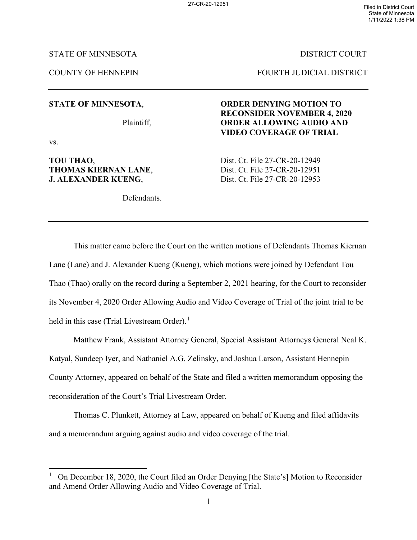State of Minnesota 1/11/2022 1:38 PM

# STATE OF MINNESOTA DISTRICT COURT

COUNTY OF HENNEPIN FOURTH JUDICIAL DISTRICT

vs.

# **THOMAS KIERNAN LANE,** Dist. Ct. File 27-CR-20-12951 **J. ALEXANDER KUENG, Solution Dist. Ct. File 27-CR-20-12953**

Defendants.

# **STATE OF MINNESOTA**, **ORDER DENYING MOTION TO RECONSIDER NOVEMBER 4, 2020**  Plaintiff, **ORDER ALLOWING AUDIO AND VIDEO COVERAGE OF TRIAL**

**TOU THAO,** Dist. Ct. File 27-CR-20-12949

This matter came before the Court on the written motions of Defendants Thomas Kiernan Lane (Lane) and J. Alexander Kueng (Kueng), which motions were joined by Defendant Tou Thao (Thao) orally on the record during a September 2, 2021 hearing, for the Court to reconsider its November 4, 2020 Order Allowing Audio and Video Coverage of Trial of the joint trial to be held in this case (Trial Livestream Order).<sup>[1](#page-0-0)</sup>

Matthew Frank, Assistant Attorney General, Special Assistant Attorneys General Neal K. Katyal, Sundeep Iyer, and Nathaniel A.G. Zelinsky, and Joshua Larson, Assistant Hennepin County Attorney, appeared on behalf of the State and filed a written memorandum opposing the reconsideration of the Court's Trial Livestream Order.

Thomas C. Plunkett, Attorney at Law, appeared on behalf of Kueng and filed affidavits and a memorandum arguing against audio and video coverage of the trial.

<span id="page-0-0"></span><sup>&</sup>lt;sup>1</sup> On December 18, 2020, the Court filed an Order Denying [the State's] Motion to Reconsider and Amend Order Allowing Audio and Video Coverage of Trial.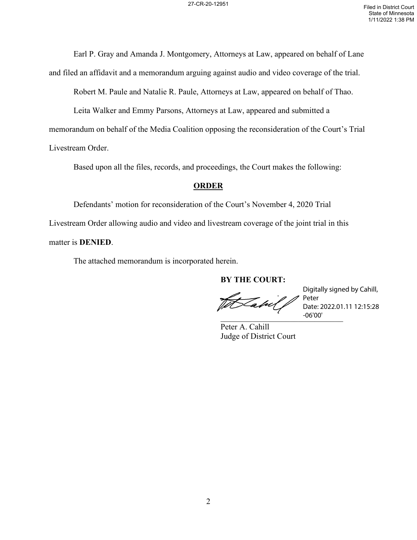Earl P. Gray and Amanda J. Montgomery, Attorneys at Law, appeared on behalf of Lane

and filed an affidavit and a memorandum arguing against audio and video coverage of the trial.

Robert M. Paule and Natalie R. Paule, Attorneys at Law, appeared on behalf of Thao.

Leita Walker and Emmy Parsons, Attorneys at Law, appeared and submitted a

memorandum on behalf of the Media Coalition opposing the reconsideration of the Court's Trial

Livestream Order.

Based upon all the files, records, and proceedings, the Court makes the following:

# **ORDER**

Defendants' motion for reconsideration of the Court's November 4, 2020 Trial Livestream Order allowing audio and video and livestream coverage of the joint trial in this matter is **DENIED**.

The attached memorandum is incorporated herein.

**BY THE COURT:**

Totabil  $-06'00'$ 

Digitally signed by Cahill, Peter Date: 2022.01.11 12:15:28 -06'00'

Peter A. Cahill Judge of District Court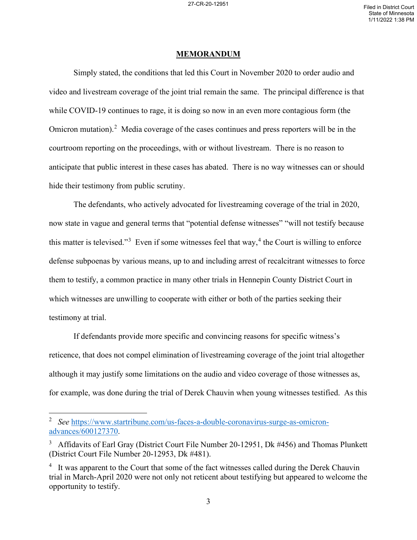### **MEMORANDUM**

Simply stated, the conditions that led this Court in November 2020 to order audio and video and livestream coverage of the joint trial remain the same. The principal difference is that while COVID-19 continues to rage, it is doing so now in an even more contagious form (the Omicron mutation).<sup>[2](#page-2-0)</sup> Media coverage of the cases continues and press reporters will be in the courtroom reporting on the proceedings, with or without livestream. There is no reason to anticipate that public interest in these cases has abated. There is no way witnesses can or should hide their testimony from public scrutiny.

The defendants, who actively advocated for livestreaming coverage of the trial in 2020, now state in vague and general terms that "potential defense witnesses" "will not testify because this matter is televised."<sup>[3](#page-2-1)</sup> Even if some witnesses feel that way,<sup>[4](#page-2-2)</sup> the Court is willing to enforce defense subpoenas by various means, up to and including arrest of recalcitrant witnesses to force them to testify, a common practice in many other trials in Hennepin County District Court in which witnesses are unwilling to cooperate with either or both of the parties seeking their testimony at trial.

If defendants provide more specific and convincing reasons for specific witness's reticence, that does not compel elimination of livestreaming coverage of the joint trial altogether although it may justify some limitations on the audio and video coverage of those witnesses as, for example, was done during the trial of Derek Chauvin when young witnesses testified. As this

<span id="page-2-0"></span><sup>2</sup> *See* [https://www.startribune.com/us-faces-a-double-coronavirus-surge-as-omicron](https://www.startribune.com/us-faces-a-double-coronavirus-surge-as-omicron-advances/600127370)[advances/600127370.](https://www.startribune.com/us-faces-a-double-coronavirus-surge-as-omicron-advances/600127370)

<span id="page-2-1"></span><sup>&</sup>lt;sup>3</sup> Affidavits of Earl Gray (District Court File Number 20-12951, Dk #456) and Thomas Plunkett (District Court File Number 20-12953, Dk #481).

<span id="page-2-2"></span><sup>&</sup>lt;sup>4</sup> It was apparent to the Court that some of the fact witnesses called during the Derek Chauvin trial in March-April 2020 were not only not reticent about testifying but appeared to welcome the opportunity to testify.